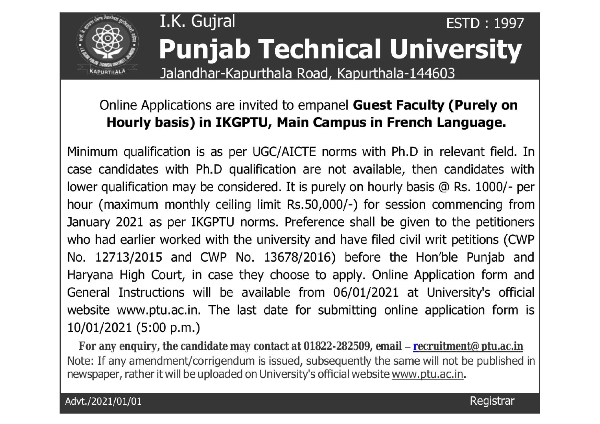

## I.K. Gujral **ESTD: 1997 Punjab Technical University**

Jalandhar-Kapurthala Road, Kapurthala-144603

## Online Applications are invited to empanel Guest Faculty (Purely on Hourly basis) in IKGPTU, Main Campus in French Language.

Minimum qualification is as per UGC/AICTE norms with Ph.D in relevant field. In case candidates with Ph.D qualification are not available, then candidates with lower qualification may be considered. It is purely on hourly basis @ Rs. 1000/- per hour (maximum monthly ceiling limit Rs.50,000/-) for session commencing from January 2021 as per IKGPTU norms. Preference shall be given to the petitioners who had earlier worked with the university and have filed civil writ petitions (CWP No. 12713/2015 and CWP No. 13678/2016) before the Hon'ble Punjab and Haryana High Court, in case they choose to apply. Online Application form and General Instructions will be available from 06/01/2021 at University's official website www.ptu.ac.in. The last date for submitting online application form is 10/01/2021 (5:00 p.m.)

For any enquiry, the candidate may contact at 01822-282509, email – recruitment@ ptu.ac.in Note: If any amendment/corrigendum is issued, subsequently the same will not be published in newspaper, rather it will be uploaded on University's official website www.ptu.ac.in.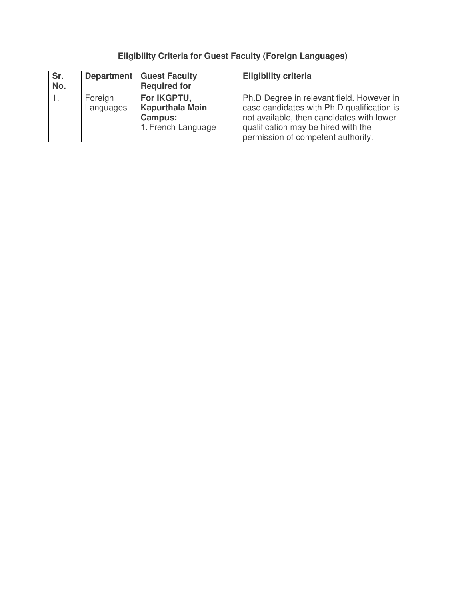## **Eligibility Criteria for Guest Faculty (Foreign Languages)**

| Sr.<br>No. |                      | <b>Department   Guest Faculty</b><br><b>Required for</b>                      | <b>Eligibility criteria</b>                                                                                                                                                                                       |
|------------|----------------------|-------------------------------------------------------------------------------|-------------------------------------------------------------------------------------------------------------------------------------------------------------------------------------------------------------------|
|            | Foreign<br>Languages | For IKGPTU,<br><b>Kapurthala Main</b><br><b>Campus:</b><br>1. French Language | Ph.D Degree in relevant field. However in<br>case candidates with Ph.D qualification is<br>not available, then candidates with lower<br>qualification may be hired with the<br>permission of competent authority. |